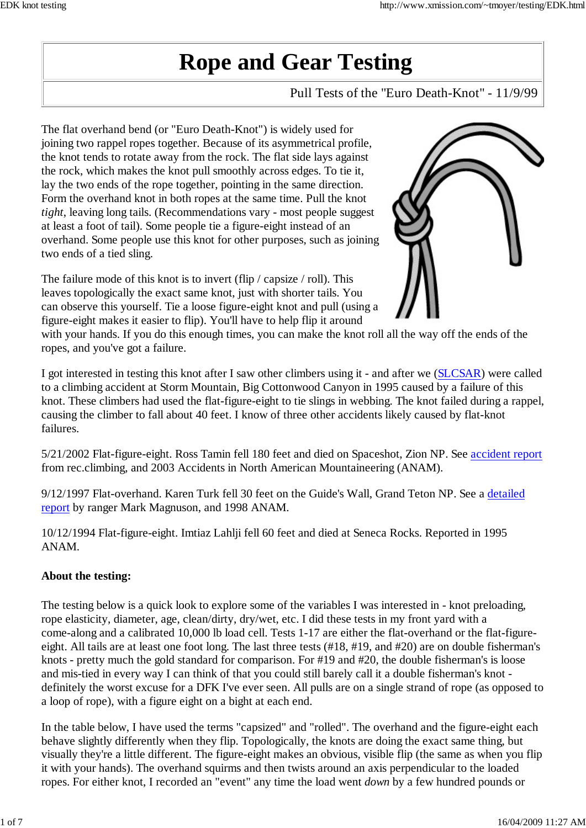# **Rope and Gear Testing**

Pull Tests of the "Euro Death-Knot" - 11/9/99

The flat overhand bend (or "Euro Death-Knot") is widely used for joining two rappel ropes together. Because of its asymmetrical profile, the knot tends to rotate away from the rock. The flat side lays against the rock, which makes the knot pull smoothly across edges. To tie it, lay the two ends of the rope together, pointing in the same direction. Form the overhand knot in both ropes at the same time. Pull the knot *tight*, leaving long tails. (Recommendations vary - most people suggest at least a foot of tail). Some people tie a figure-eight instead of an overhand. Some people use this knot for other purposes, such as joining two ends of a tied sling.

The failure mode of this knot is to invert (flip / capsize / roll). This leaves topologically the exact same knot, just with shorter tails. You can observe this yourself. Tie a loose figure-eight knot and pull (using a figure-eight makes it easier to flip). You'll have to help flip it around



with your hands. If you do this enough times, you can make the knot roll all the way off the ends of the ropes, and you've got a failure.

I got interested in testing this knot after I saw other climbers using it - and after we (SLCSAR) were called to a climbing accident at Storm Mountain, Big Cottonwood Canyon in 1995 caused by a failure of this knot. These climbers had used the flat-figure-eight to tie slings in webbing. The knot failed during a rappel, causing the climber to fall about 40 feet. I know of three other accidents likely caused by flat-knot failures.

5/21/2002 Flat-figure-eight. Ross Tamin fell 180 feet and died on Spaceshot, Zion NP. See accident report from rec.climbing, and 2003 Accidents in North American Mountaineering (ANAM).

9/12/1997 Flat-overhand. Karen Turk fell 30 feet on the Guide's Wall, Grand Teton NP. See a detailed report by ranger Mark Magnuson, and 1998 ANAM.

10/12/1994 Flat-figure-eight. Imtiaz Lahlji fell 60 feet and died at Seneca Rocks. Reported in 1995 ANAM.

## **About the testing:**

The testing below is a quick look to explore some of the variables I was interested in - knot preloading, rope elasticity, diameter, age, clean/dirty, dry/wet, etc. I did these tests in my front yard with a come-along and a calibrated 10,000 lb load cell. Tests 1-17 are either the flat-overhand or the flat-figureeight. All tails are at least one foot long. The last three tests (#18, #19, and #20) are on double fisherman's knots - pretty much the gold standard for comparison. For #19 and #20, the double fisherman's is loose and mis-tied in every way I can think of that you could still barely call it a double fisherman's knot definitely the worst excuse for a DFK I've ever seen. All pulls are on a single strand of rope (as opposed to a loop of rope), with a figure eight on a bight at each end.

In the table below, I have used the terms "capsized" and "rolled". The overhand and the figure-eight each behave slightly differently when they flip. Topologically, the knots are doing the exact same thing, but visually they're a little different. The figure-eight makes an obvious, visible flip (the same as when you flip it with your hands). The overhand squirms and then twists around an axis perpendicular to the loaded ropes. For either knot, I recorded an "event" any time the load went *down* by a few hundred pounds or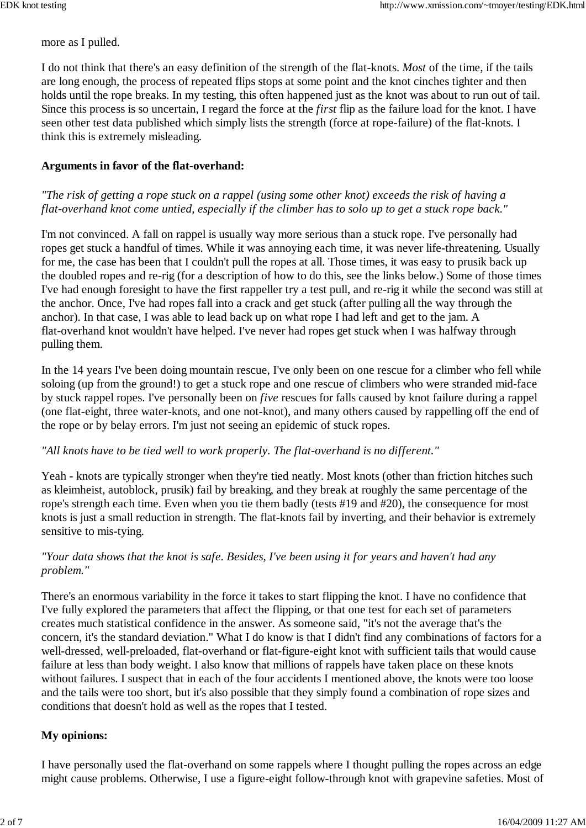more as I pulled.

I do not think that there's an easy definition of the strength of the flat-knots. *Most* of the time, if the tails are long enough, the process of repeated flips stops at some point and the knot cinches tighter and then holds until the rope breaks. In my testing, this often happened just as the knot was about to run out of tail. Since this process is so uncertain, I regard the force at the *first* flip as the failure load for the knot. I have seen other test data published which simply lists the strength (force at rope-failure) of the flat-knots. I think this is extremely misleading.

#### **Arguments in favor of the flat-overhand:**

#### *"The risk of getting a rope stuck on a rappel (using some other knot) exceeds the risk of having a flat-overhand knot come untied, especially if the climber has to solo up to get a stuck rope back."*

I'm not convinced. A fall on rappel is usually way more serious than a stuck rope. I've personally had ropes get stuck a handful of times. While it was annoying each time, it was never life-threatening. Usually for me, the case has been that I couldn't pull the ropes at all. Those times, it was easy to prusik back up the doubled ropes and re-rig (for a description of how to do this, see the links below.) Some of those times I've had enough foresight to have the first rappeller try a test pull, and re-rig it while the second was still at the anchor. Once, I've had ropes fall into a crack and get stuck (after pulling all the way through the anchor). In that case, I was able to lead back up on what rope I had left and get to the jam. A flat-overhand knot wouldn't have helped. I've never had ropes get stuck when I was halfway through pulling them.

In the 14 years I've been doing mountain rescue, I've only been on one rescue for a climber who fell while soloing (up from the ground!) to get a stuck rope and one rescue of climbers who were stranded mid-face by stuck rappel ropes. I've personally been on *five* rescues for falls caused by knot failure during a rappel (one flat-eight, three water-knots, and one not-knot), and many others caused by rappelling off the end of the rope or by belay errors. I'm just not seeing an epidemic of stuck ropes.

#### *"All knots have to be tied well to work properly. The flat-overhand is no different."*

Yeah - knots are typically stronger when they're tied neatly. Most knots (other than friction hitches such as kleimheist, autoblock, prusik) fail by breaking, and they break at roughly the same percentage of the rope's strength each time. Even when you tie them badly (tests #19 and #20), the consequence for most knots is just a small reduction in strength. The flat-knots fail by inverting, and their behavior is extremely sensitive to mis-tying.

#### *"Your data shows that the knot is safe. Besides, I've been using it for years and haven't had any problem."*

There's an enormous variability in the force it takes to start flipping the knot. I have no confidence that I've fully explored the parameters that affect the flipping, or that one test for each set of parameters creates much statistical confidence in the answer. As someone said, "it's not the average that's the concern, it's the standard deviation." What I do know is that I didn't find any combinations of factors for a well-dressed, well-preloaded, flat-overhand or flat-figure-eight knot with sufficient tails that would cause failure at less than body weight. I also know that millions of rappels have taken place on these knots without failures. I suspect that in each of the four accidents I mentioned above, the knots were too loose and the tails were too short, but it's also possible that they simply found a combination of rope sizes and conditions that doesn't hold as well as the ropes that I tested.

## **My opinions:**

I have personally used the flat-overhand on some rappels where I thought pulling the ropes across an edge might cause problems. Otherwise, I use a figure-eight follow-through knot with grapevine safeties. Most of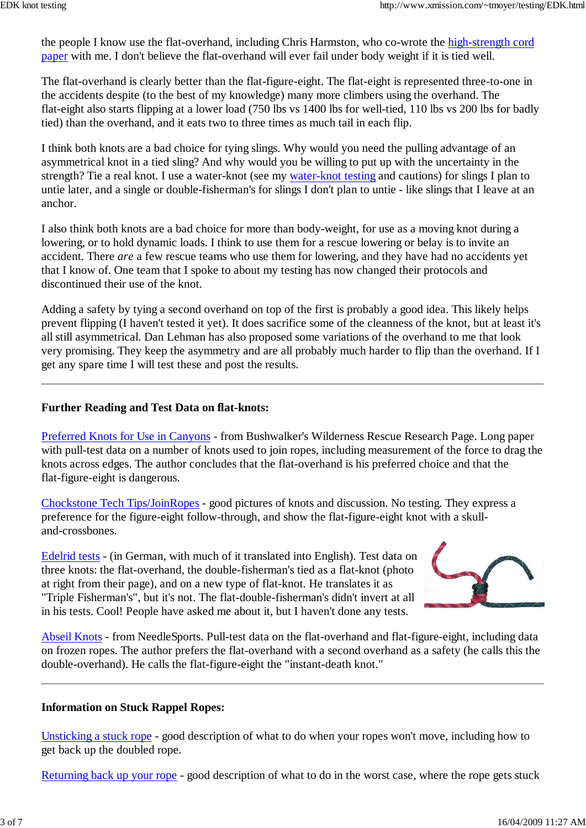the people I know use the flat-overhand, including Chris Harmston, who co-wrote the high-strength cord paper with me. I don't believe the flat-overhand will ever fail under body weight if it is tied well.

The flat-overhand is clearly better than the flat-figure-eight. The flat-eight is represented three-to-one in the accidents despite (to the best of my knowledge) many more climbers using the overhand. The flat-eight also starts flipping at a lower load (750 lbs vs 1400 lbs for well-tied, 110 lbs vs 200 lbs for badly tied) than the overhand, and it eats two to three times as much tail in each flip.

I think both knots are a bad choice for tying slings. Why would you need the pulling advantage of an asymmetrical knot in a tied sling? And why would you be willing to put up with the uncertainty in the strength? Tie a real knot. I use a water-knot (see my water-knot testing and cautions) for slings I plan to untie later, and a single or double-fisherman's for slings I don't plan to untie - like slings that I leave at an anchor.

I also think both knots are a bad choice for more than body-weight, for use as a moving knot during a lowering, or to hold dynamic loads. I think to use them for a rescue lowering or belay is to invite an accident. There *are* a few rescue teams who use them for lowering, and they have had no accidents yet that I know of. One team that I spoke to about my testing has now changed their protocols and discontinued their use of the knot.

Adding a safety by tying a second overhand on top of the first is probably a good idea. This likely helps prevent flipping (I haven't tested it yet). It does sacrifice some of the cleanness of the knot, but at least it's all still asymmetrical. Dan Lehman has also proposed some variations of the overhand to me that look very promising. They keep the asymmetry and are all probably much harder to flip than the overhand. If I get any spare time I will test these and post the results.

#### **Further Reading and Test Data on flat-knots:**

Preferred Knots for Use in Canyons - from Bushwalker's Wilderness Rescue Research Page. Long paper with pull-test data on a number of knots used to join ropes, including measurement of the force to drag the knots across edges. The author concludes that the flat-overhand is his preferred choice and that the flat-figure-eight is dangerous.

Chockstone Tech Tips/JoinRopes - good pictures of knots and discussion. No testing. They express a preference for the figure-eight follow-through, and show the flat-figure-eight knot with a skulland-crossbones.

Edelrid tests - (in German, with much of it translated into English). Test data on three knots: the flat-overhand, the double-fisherman's tied as a flat-knot (photo at right from their page), and on a new type of flat-knot. He translates it as "Triple Fisherman's", but it's not. The flat-double-fisherman's didn't invert at all in his tests. Cool! People have asked me about it, but I haven't done any tests.



Abseil Knots - from NeedleSports. Pull-test data on the flat-overhand and flat-figure-eight, including data on frozen ropes. The author prefers the flat-overhand with a second overhand as a safety (he calls this the double-overhand). He calls the flat-figure-eight the "instant-death knot."

#### **Information on Stuck Rappel Ropes:**

Unsticking a stuck rope - good description of what to do when your ropes won't move, including how to get back up the doubled rope.

Returning back up your rope - good description of what to do in the worst case, where the rope gets stuck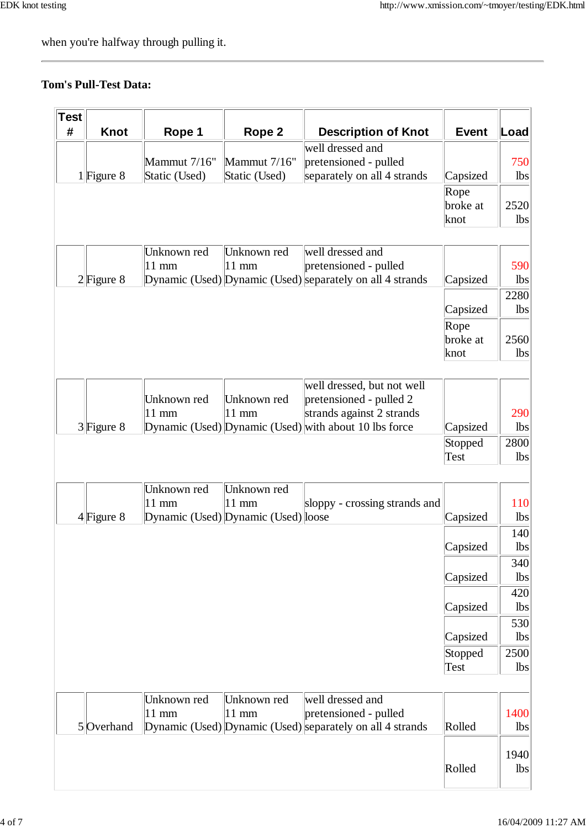when you're halfway through pulling it.

# **Tom's Pull-Test Data:**

| Test |              |                 |                                     |                                                           |              |      |
|------|--------------|-----------------|-------------------------------------|-----------------------------------------------------------|--------------|------|
| #    | <b>Knot</b>  | Rope 1          | Rope 2                              | <b>Description of Knot</b>                                | <b>Event</b> | Load |
|      |              |                 |                                     | well dressed and                                          |              |      |
|      |              | Mammut 7/16"    | Mammut 7/16"                        | pretensioned - pulled                                     |              | 750  |
|      | $1$ Figure 8 | Static (Used)   | Static (Used)                       | separately on all 4 strands                               | Capsized     | lbs  |
|      |              |                 |                                     |                                                           | Rope         |      |
|      |              |                 |                                     |                                                           | broke at     | 2520 |
|      |              |                 |                                     |                                                           | knot         | lbs  |
|      |              |                 |                                     |                                                           |              |      |
|      |              | Unknown red     | Unknown red                         | well dressed and                                          |              |      |
|      |              | $11$ mm         | $11 \text{ mm}$                     | pretensioned - pulled                                     |              | 590  |
|      | $2$ Figure 8 |                 |                                     | Dynamic (Used) Dynamic (Used) separately on all 4 strands | Capsized     | lbs  |
|      |              |                 |                                     |                                                           |              | 2280 |
|      |              |                 |                                     |                                                           | Capsized     | lbs  |
|      |              |                 |                                     |                                                           | Rope         |      |
|      |              |                 |                                     |                                                           | broke at     | 2560 |
|      |              |                 |                                     |                                                           | knot         | lbs  |
|      |              |                 |                                     |                                                           |              |      |
|      |              | Unknown red     | Unknown red                         | well dressed, but not well<br>pretensioned - pulled 2     |              |      |
|      |              | $11 \text{ mm}$ | $11 \text{ mm}$                     | strands against 2 strands                                 |              | 290  |
|      | $3$ Figure 8 |                 |                                     | Dynamic (Used) Dynamic (Used) with about 10 lbs force     | Capsized     | lbs  |
|      |              |                 |                                     |                                                           | Stopped      | 2800 |
|      |              |                 |                                     |                                                           | Test         | lbs  |
|      |              |                 |                                     |                                                           |              |      |
|      |              | Unknown red     | Unknown red                         |                                                           |              |      |
|      |              | $11 \text{ mm}$ | $11 \text{ mm}$                     | sloppy - crossing strands and                             |              | 110  |
|      | $4$ Figure 8 |                 | Dynamic (Used) Dynamic (Used) loose |                                                           | Capsized     | lbs  |
|      |              |                 |                                     |                                                           |              | 140  |
|      |              |                 |                                     |                                                           | Capsized     | lbs  |
|      |              |                 |                                     |                                                           |              | 340  |
|      |              |                 |                                     |                                                           | Capsized     | lbs  |
|      |              |                 |                                     |                                                           |              | 420  |
|      |              |                 |                                     |                                                           | Capsized     | lbs  |
|      |              |                 |                                     |                                                           |              | 530  |
|      |              |                 |                                     |                                                           | Capsized     | lbs  |
|      |              |                 |                                     |                                                           | Stopped      | 2500 |
|      |              |                 |                                     |                                                           | Test         | lbs  |
|      |              |                 |                                     |                                                           |              |      |
|      |              | Unknown red     | Unknown red                         | well dressed and                                          |              |      |
|      |              | $11 \text{ mm}$ | $ 11$ mm                            | pretensioned - pulled                                     |              | 1400 |
|      | 5 Overhand   |                 |                                     | Dynamic (Used) Dynamic (Used) separately on all 4 strands | Rolled       | lbs  |
|      |              |                 |                                     |                                                           |              | 1940 |
|      |              |                 |                                     |                                                           | Rolled       | lbs  |
|      |              |                 |                                     |                                                           |              |      |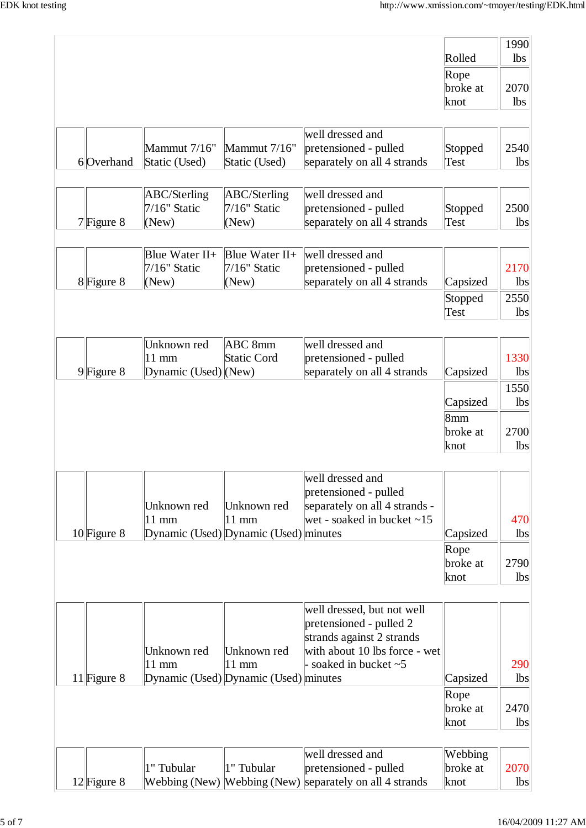|               |                        |                                       |                                                         |          | 1990       |
|---------------|------------------------|---------------------------------------|---------------------------------------------------------|----------|------------|
|               |                        |                                       |                                                         | Rolled   | lbs        |
|               |                        |                                       |                                                         | Rope     |            |
|               |                        |                                       |                                                         | broke at | 2070       |
|               |                        |                                       |                                                         | knot     | lbs        |
|               |                        |                                       |                                                         |          |            |
|               |                        |                                       | well dressed and                                        |          |            |
|               | Mammut 7/16"           | Mammut 7/16"                          | pretensioned - pulled                                   | Stopped  | 2540       |
| 6 Overhand    | Static (Used)          | Static (Used)                         | separately on all 4 strands                             | Test     | lbs        |
|               |                        |                                       |                                                         |          |            |
|               | ABC/Sterling           | ABC/Sterling                          | well dressed and                                        |          |            |
|               | $7/16$ " Static        | $7/16$ " Static                       | pretensioned - pulled                                   |          | 2500       |
|               |                        |                                       |                                                         | Stopped  |            |
| $7$ Figure 8  | (New)                  | (New)                                 | separately on all 4 strands                             | Test     | <b>lbs</b> |
|               |                        |                                       |                                                         |          |            |
|               | Blue Water $II+$       | Blue Water $II+$                      | well dressed and                                        |          |            |
|               | $7/16$ " Static        | $7/16$ " Static                       | pretensioned - pulled                                   |          | 2170       |
| $8$ Figure 8  | (New)                  | (New)                                 | separately on all 4 strands                             | Capsized | lbs        |
|               |                        |                                       |                                                         | Stopped  | 2550       |
|               |                        |                                       |                                                         | Test     | lbs        |
|               |                        |                                       |                                                         |          |            |
|               | Unknown red            | ABC 8mm                               | well dressed and                                        |          |            |
|               | $11 \text{ mm}$        | <b>Static Cord</b>                    | pretensioned - pulled                                   |          | 1330       |
| $9$ Figure 8  | Dynamic $(Used)$ (New) |                                       | separately on all 4 strands                             | Capsized | <b>lbs</b> |
|               |                        |                                       |                                                         |          | 1550       |
|               |                        |                                       |                                                         | Capsized | <b>lbs</b> |
|               |                        |                                       |                                                         | 8mm      |            |
|               |                        |                                       |                                                         | broke at | 2700       |
|               |                        |                                       |                                                         | knot     | lbs        |
|               |                        |                                       |                                                         |          |            |
|               |                        |                                       | well dressed and                                        |          |            |
|               |                        |                                       | pretensioned - pulled                                   |          |            |
|               | Unknown red            | Unknown red                           | separately on all 4 strands -                           |          |            |
|               | $11 \text{ mm}$        | $11 \text{ mm}$                       | wet - soaked in bucket $\sim$ 15                        |          | 470        |
| $10$ Figure 8 |                        | Dynamic (Used) Dynamic (Used) minutes |                                                         | Capsized | lbs        |
|               |                        |                                       |                                                         | Rope     |            |
|               |                        |                                       |                                                         | broke at | 2790       |
|               |                        |                                       |                                                         | knot     | <b>lbs</b> |
|               |                        |                                       |                                                         |          |            |
|               |                        |                                       | well dressed, but not well                              |          |            |
|               |                        |                                       | pretensioned - pulled 2                                 |          |            |
|               |                        |                                       | strands against 2 strands                               |          |            |
|               | Unknown red            | Unknown red                           | with about 10 lbs force - wet                           |          |            |
|               | $11$ mm                | $11 \text{ mm}$                       | $\frac{1}{2}$ soaked in bucket $\sim$ 5                 |          | 290        |
| 11 Figure $8$ |                        | Dynamic (Used) Dynamic (Used) minutes |                                                         | Capsized | lbs        |
|               |                        |                                       |                                                         | Rope     |            |
|               |                        |                                       |                                                         | broke at | 2470       |
|               |                        |                                       |                                                         | knot     | <b>lbs</b> |
|               |                        |                                       |                                                         |          |            |
|               |                        |                                       | well dressed and                                        | Webbing  |            |
|               | 1" Tubular             | 1" Tubular                            | pretensioned - pulled                                   | broke at | 2070       |
| $12$ Figure 8 |                        |                                       | Webbing (New) Webbing (New) separately on all 4 strands | knot     | lbs        |
|               |                        |                                       |                                                         |          |            |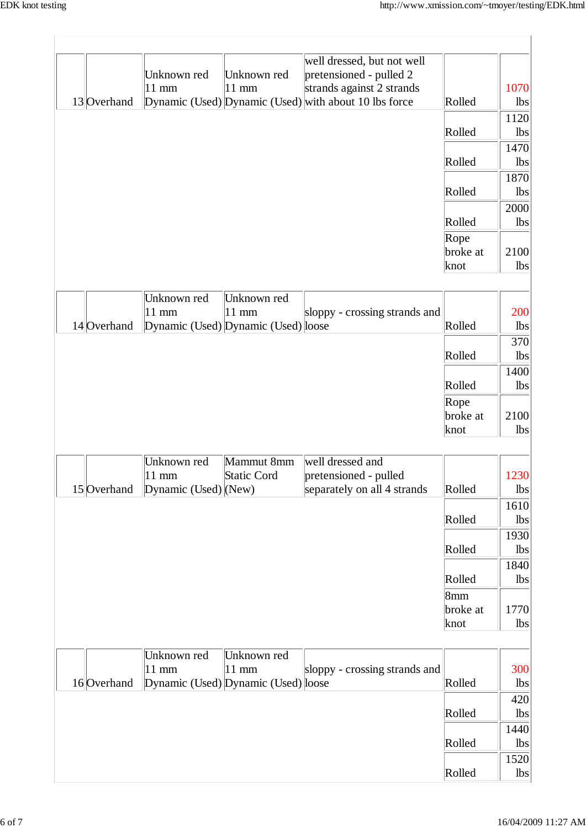$\overline{\phantom{a}}$ 

|             |                                |                                     | well dressed, but not well                            |          |                |
|-------------|--------------------------------|-------------------------------------|-------------------------------------------------------|----------|----------------|
|             | Unknown red                    | Unknown red                         | pretensioned - pulled 2                               |          |                |
|             | 11 mm                          | $11 \text{ mm}$                     | strands against 2 strands                             |          | 1070           |
| 13 Overhand |                                |                                     | Dynamic (Used) Dynamic (Used) with about 10 lbs force | Rolled   | lbs            |
|             |                                |                                     |                                                       |          | 1120           |
|             |                                |                                     |                                                       | Rolled   | lbs            |
|             |                                |                                     |                                                       |          | 1470           |
|             |                                |                                     |                                                       | Rolled   | $\mathbf{lbs}$ |
|             |                                |                                     |                                                       |          | 1870           |
|             |                                |                                     |                                                       | Rolled   | lbs            |
|             |                                |                                     |                                                       |          | 2000           |
|             |                                |                                     |                                                       | Rolled   | lbs            |
|             |                                |                                     |                                                       | Rope     |                |
|             |                                |                                     |                                                       | broke at | 2100           |
|             |                                |                                     |                                                       | knot     | lbs            |
|             |                                |                                     |                                                       |          |                |
|             | Unknown red                    | Unknown red                         |                                                       |          |                |
|             | 11 mm                          | $11$ mm                             | sloppy - crossing strands and                         |          | 200            |
| 14 Overhand |                                | Dynamic (Used) Dynamic (Used) loose |                                                       | Rolled   | lbs            |
|             |                                |                                     |                                                       |          | 370            |
|             |                                |                                     |                                                       | Rolled   | lbs            |
|             |                                |                                     |                                                       |          | 1400           |
|             |                                |                                     |                                                       | Rolled   | lbs            |
|             |                                |                                     |                                                       |          |                |
|             |                                |                                     |                                                       | Rope     |                |
|             |                                |                                     |                                                       | broke at | 2100           |
|             |                                |                                     |                                                       | knot     | lbs            |
|             | Unknown red                    | Mammut 8mm                          | well dressed and                                      |          |                |
|             | $11$ mm                        | <b>Static Cord</b>                  | pretensioned - pulled                                 |          | 1230           |
| 15 Overhand | $ D$ ynamic (Used) $ $ (New)   |                                     | separately on all 4 strands                           | Rolled   | lbs            |
|             |                                |                                     |                                                       |          | 1610           |
|             |                                |                                     |                                                       | Rolled   | lbs            |
|             |                                |                                     |                                                       |          | 1930           |
|             |                                |                                     |                                                       | Rolled   | lbs            |
|             |                                |                                     |                                                       |          |                |
|             |                                |                                     |                                                       |          | 1840           |
|             |                                |                                     |                                                       | Rolled   | lbs            |
|             |                                |                                     |                                                       | 8mm      |                |
|             |                                |                                     |                                                       | broke at | 1770           |
|             |                                |                                     |                                                       | knot     | lbs            |
|             |                                |                                     |                                                       |          |                |
|             | Unknown red<br>$11 \text{ mm}$ | Unknown red<br>$11 \text{ mm}$      |                                                       |          | 300            |
| 16 Overhand |                                | Dynamic (Used) Dynamic (Used) loose | sloppy - crossing strands and                         | Rolled   | lbs            |
|             |                                |                                     |                                                       |          |                |
|             |                                |                                     |                                                       |          | 420            |
|             |                                |                                     |                                                       | Rolled   | lbs            |
|             |                                |                                     |                                                       |          | 1440           |
|             |                                |                                     |                                                       | Rolled   | lbs            |
|             |                                |                                     |                                                       |          | 1520           |
|             |                                |                                     |                                                       | Rolled   | lbs            |